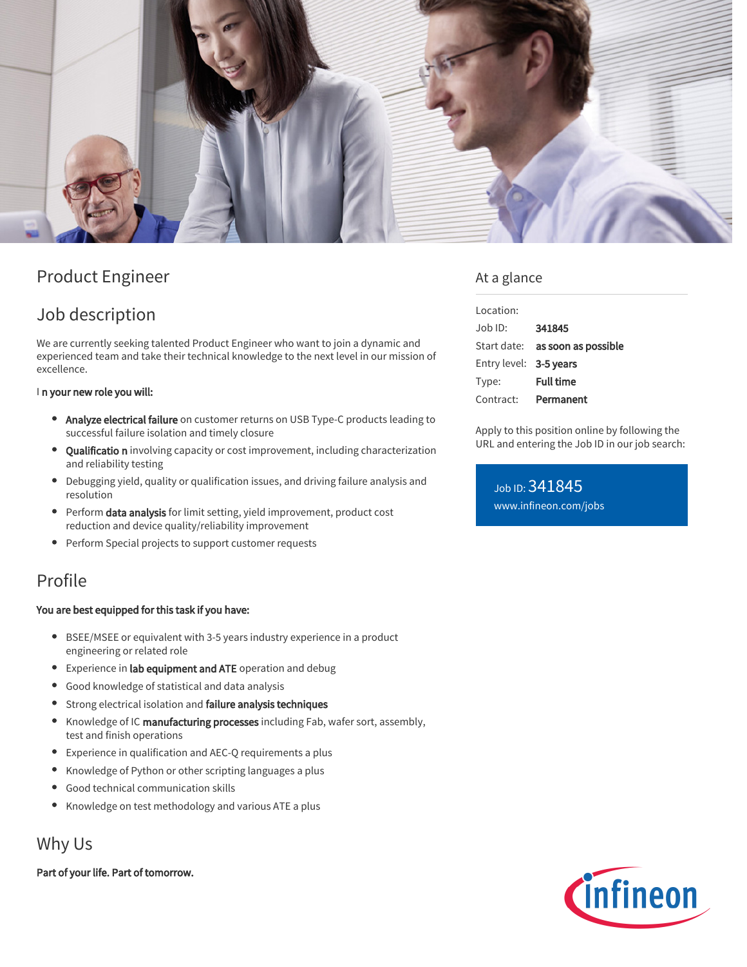

# Product Engineer

# Job description

We are currently seeking talented Product Engineer who want to join a dynamic and experienced team and take their technical knowledge to the next level in our mission of excellence.

#### In your new role you will:

- Analyze electrical failure on customer returns on USB Type-C products leading to successful failure isolation and timely closure
- Qualificatio n involving capacity or cost improvement, including characterization and reliability testing
- Debugging yield, quality or qualification issues, and driving failure analysis and resolution
- Perform data analysis for limit setting, yield improvement, product cost reduction and device quality/reliability improvement
- $\bullet$ Perform Special projects to support customer requests

## Profile

#### You are best equipped for this task if you have:

- BSEE/MSEE or equivalent with 3-5 years industry experience in a product engineering or related role
- **•** Experience in lab equipment and ATE operation and debug
- Good knowledge of statistical and data analysis
- **•** Strong electrical isolation and failure analysis techniques
- Knowledge of IC manufacturing processes including Fab, wafer sort, assembly, test and finish operations
- Experience in qualification and AEC-Q requirements a plus
- Knowledge of Python or other scripting languages a plus
- Good technical communication skills
- Knowledge on test methodology and various ATE a plus

## Why Us

Part of your life. Part of tomorrow.

## At a glance

| Location:              |                                        |
|------------------------|----------------------------------------|
| Job ID:                | 341845                                 |
|                        | Start date: <b>as soon as possible</b> |
| Entry level: 3-5 years |                                        |
| Type:                  | <b>Full time</b>                       |
| Contract:              | Permanent                              |

Apply to this position online by following the URL and entering the Job ID in our job search:

## Job ID: 341845 [www.infineon.com/jobs](https://www.infineon.com/jobs)